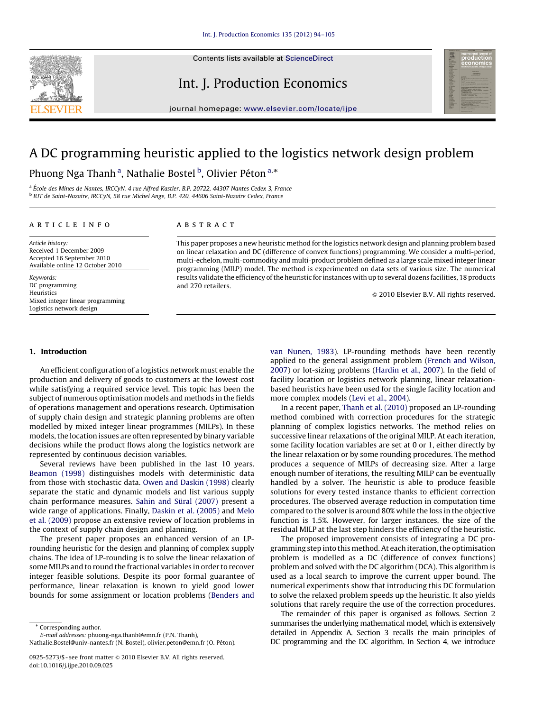

Contents lists available at ScienceDirect

### Int. J. Production Economics



journal homepage: <www.elsevier.com/locate/ijpe>

## A DC programming heuristic applied to the logistics network design problem

Phuong Nga Thanh<sup>a</sup>, Nathalie Bostel <sup>b</sup>, Olivier Péton<sup>a,</sup>\*

<sup>a</sup> École des Mines de Nantes, IRCCyN, 4 rue Alfred Kastler, B.P. 20722, 44307 Nantes Cedex 3, France <sup>b</sup> IUT de Saint-Nazaire, IRCCyN, 58 rue Michel Ange, B.P. 420, 44606 Saint-Nazaire Cedex, France

#### article info

Article history:

Received 1 December 2009 Accepted 16 September 2010 Available online 12 October 2010

Keywords: DC programming Heuristics Mixed integer linear programming Logistics network design

#### **ABSTRACT**

This paper proposes a new heuristic method for the logistics network design and planning problem based on linear relaxation and DC (difference of convex functions) programming. We consider a multi-period, multi-echelon, multi-commodity and multi-product problem defined as a large scale mixed integer linear programming (MILP) model. The method is experimented on data sets of various size. The numerical results validate the efficiency of the heuristic for instances with up to several dozens facilities, 18 products and 270 retailers.

 $\odot$  2010 Elsevier B.V. All rights reserved.

#### 1. Introduction

An efficient configuration of a logistics network must enable the production and delivery of goods to customers at the lowest cost while satisfying a required service level. This topic has been the subject of numerous optimisation models and methods in the fields of operations management and operations research. Optimisation of supply chain design and strategic planning problems are often modelled by mixed integer linear programmes (MILPs). In these models, the location issues are often represented by binary variable decisions while the product flows along the logistics network are represented by continuous decision variables.

Several reviews have been published in the last 10 years. [Beamon \(1998\)](#page--1-0) distinguishes models with deterministic data from those with stochastic data. [Owen and Daskin \(1998\)](#page--1-0) clearly separate the static and dynamic models and list various supply chain performance measures. Sahin and Süral (2007) present a wide range of applications. Finally, [Daskin et al. \(2005\)](#page--1-0) and [Melo](#page--1-0) [et al. \(2009\)](#page--1-0) propose an extensive review of location problems in the context of supply chain design and planning.

The present paper proposes an enhanced version of an LProunding heuristic for the design and planning of complex supply chains. The idea of LP-rounding is to solve the linear relaxation of some MILPs and to round the fractional variables in order to recover integer feasible solutions. Despite its poor formal guarantee of performance, linear relaxation is known to yield good lower bounds for some assignment or location problems ([Benders and](#page--1-0)

\* Corresponding author. E-mail addresses: [phuong-nga.thanh@emn.fr \(P.N. Thanh\),](mailto:phuong-nga.thanh@emn.fr) [Nathalie.Bostel@univ-nantes.fr \(N. Bostel\)](mailto:Nathalie.Bostel@univ-nantes.fr), olivier.peton@emn.fr (O. Péton).

0925-5273/\$ - see front matter @ 2010 Elsevier B.V. All rights reserved. doi:[10.1016/j.ijpe.2010.09.025](dx.doi.org/10.1016/j.ijpe.2010.09.025)

[van Nunen, 1983\)](#page--1-0). LP-rounding methods have been recently applied to the general assignment problem [\(French and Wilson,](#page--1-0) [2007\)](#page--1-0) or lot-sizing problems ([Hardin et al., 2007](#page--1-0)). In the field of facility location or logistics network planning, linear relaxationbased heuristics have been used for the single facility location and more complex models ([Levi et al., 2004](#page--1-0)).

In a recent paper, [Thanh et al. \(2010\)](#page--1-0) proposed an LP-rounding method combined with correction procedures for the strategic planning of complex logistics networks. The method relies on successive linear relaxations of the original MILP. At each iteration, some facility location variables are set at 0 or 1, either directly by the linear relaxation or by some rounding procedures. The method produces a sequence of MILPs of decreasing size. After a large enough number of iterations, the resulting MILP can be eventually handled by a solver. The heuristic is able to produce feasible solutions for every tested instance thanks to efficient correction procedures. The observed average reduction in computation time compared to the solver is around 80% while the loss in the objective function is 1.5%. However, for larger instances, the size of the residual MILP at the last step hinders the efficiency of the heuristic.

The proposed improvement consists of integrating a DC programming step into this method. At each iteration, the optimisation problem is modelled as a DC (difference of convex functions) problem and solved with the DC algorithm (DCA). This algorithm is used as a local search to improve the current upper bound. The numerical experiments show that introducing this DC formulation to solve the relaxed problem speeds up the heuristic. It also yields solutions that rarely require the use of the correction procedures.

The remainder of this paper is organised as follows. Section 2 summarises the underlying mathematical model, which is extensively detailed in Appendix A. Section 3 recalls the main principles of DC programming and the DC algorithm. In Section 4, we introduce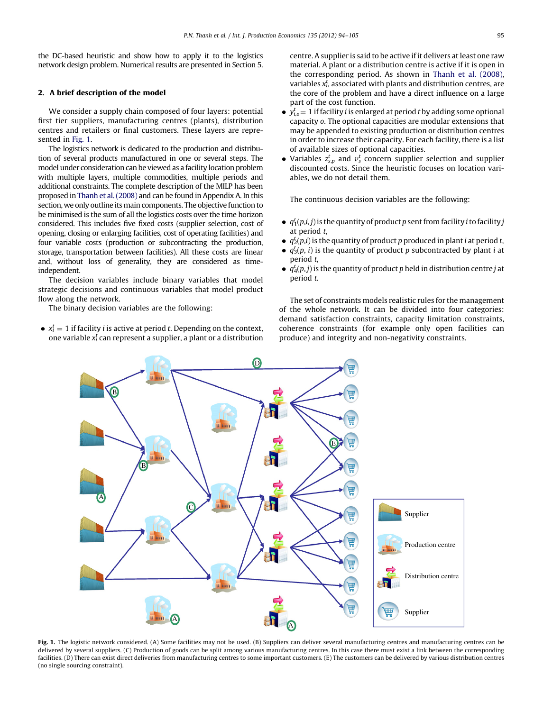the DC-based heuristic and show how to apply it to the logistics network design problem. Numerical results are presented in Section 5.

#### 2. A brief description of the model

We consider a supply chain composed of four layers: potential first tier suppliers, manufacturing centres (plants), distribution centres and retailers or final customers. These layers are represented in Fig. 1.

The logistics network is dedicated to the production and distribution of several products manufactured in one or several steps. The model under consideration can be viewed as a facility location problem with multiple layers, multiple commodities, multiple periods and additional constraints. The complete description of the MILP has been proposed in [Thanh et al. \(2008\)](#page--1-0) and can be found in Appendix A. In this section, we only outline its main components. The objective function to be minimised is the sum of all the logistics costs over the time horizon considered. This includes five fixed costs (supplier selection, cost of opening, closing or enlarging facilities, cost of operating facilities) and four variable costs (production or subcontracting the production, storage, transportation between facilities). All these costs are linear and, without loss of generality, they are considered as timeindependent.

The decision variables include binary variables that model strategic decisions and continuous variables that model product flow along the network.

The binary decision variables are the following:

•  $x_i^t = 1$  if facility *i* is active at period *t*. Depending on the context, one variable  $x_i^t$  can represent a supplier, a plant or a distribution centre. A supplier is said to be active if it delivers at least one raw material. A plant or a distribution centre is active if it is open in the corresponding period. As shown in [Thanh et al. \(2008\),](#page--1-0) variables  $x_i^t$ , associated with plants and distribution centres, are the core of the problem and have a direct influence on a large part of the cost function.

- $\bullet$   $y_{i,o}^t = 1$  if facility *i* is enlarged at period *t* by adding some optional capacity o. The optional capacities are modular extensions that may be appended to existing production or distribution centres in order to increase their capacity. For each facility, there is a list of available sizes of optional capacities.
- Variables  $z_{s,p}^t$  and  $v_s^t$  concern supplier selection and supplier discounted costs. Since the heuristic focuses on location variables, we do not detail them.

The continuous decision variables are the following:

- $\bullet$   $q_1^t(p,i,j)$  is the quantity of product p sent from facility i to facility j at period t,
- $\bullet$   $q_2^t(p,i)$  is the quantity of product p produced in plant *i* at period *t*,
- $q_3^t(p, i)$  is the quantity of product p subcontracted by plant *i* at period t,
- $\bullet$   $q_4^t(p,j)$  is the quantity of product p held in distribution centre j at period t.

The set of constraints models realistic rules for the management of the whole network. It can be divided into four categories: demand satisfaction constraints, capacity limitation constraints, coherence constraints (for example only open facilities can produce) and integrity and non-negativity constraints.



Fig. 1. The logistic network considered. (A) Some facilities may not be used. (B) Suppliers can deliver several manufacturing centres and manufacturing centres can be delivered by several suppliers. (C) Production of goods can be split among various manufacturing centres. In this case there must exist a link between the corresponding facilities. (D) There can exist direct deliveries from manufacturing centres to some important customers. (E) The customers can be delivered by various distribution centres (no single sourcing constraint).